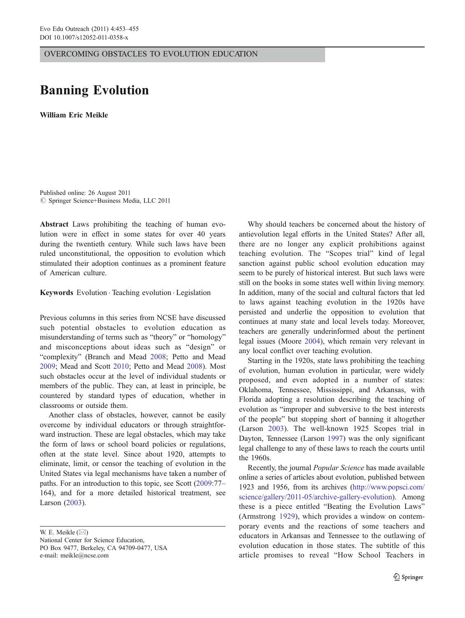OVERCOMING OBSTACLES TO EVOLUTION EDUCATION

## Banning Evolution

William Eric Meikle

Published online: 26 August 2011  $©$  Springer Science+Business Media, LLC 2011

Abstract Laws prohibiting the teaching of human evolution were in effect in some states for over 40 years during the twentieth century. While such laws have been ruled unconstitutional, the opposition to evolution which stimulated their adoption continues as a prominent feature of American culture.

Keywords Evolution . Teaching evolution . Legislation

Previous columns in this series from NCSE have discussed such potential obstacles to evolution education as misunderstanding of terms such as "theory" or "homology" and misconceptions about ideas such as "design" or "complexity" (Branch and Mead [2008;](#page-2-0) Petto and Mead [2009;](#page-2-0) Mead and Scott [2010](#page-2-0); Petto and Mead [2008](#page-2-0)). Most such obstacles occur at the level of individual students or members of the public. They can, at least in principle, be countered by standard types of education, whether in classrooms or outside them.

Another class of obstacles, however, cannot be easily overcome by individual educators or through straightforward instruction. These are legal obstacles, which may take the form of laws or school board policies or regulations, often at the state level. Since about 1920, attempts to eliminate, limit, or censor the teaching of evolution in the United States via legal mechanisms have taken a number of paths. For an introduction to this topic, see Scott [\(2009](#page-2-0):77– 164), and for a more detailed historical treatment, see Larson ([2003\)](#page-2-0).

W. E. Meikle  $(\boxtimes)$ 

National Center for Science Education, PO Box 9477, Berkeley, CA 94709-0477, USA e-mail: meikle@ncse.com

Why should teachers be concerned about the history of antievolution legal efforts in the United States? After all, there are no longer any explicit prohibitions against teaching evolution. The "Scopes trial" kind of legal sanction against public school evolution education may seem to be purely of historical interest. But such laws were still on the books in some states well within living memory. In addition, many of the social and cultural factors that led to laws against teaching evolution in the 1920s have persisted and underlie the opposition to evolution that continues at many state and local levels today. Moreover, teachers are generally underinformed about the pertinent legal issues (Moore [2004](#page-2-0)), which remain very relevant in any local conflict over teaching evolution.

Starting in the 1920s, state laws prohibiting the teaching of evolution, human evolution in particular, were widely proposed, and even adopted in a number of states: Oklahoma, Tennessee, Mississippi, and Arkansas, with Florida adopting a resolution describing the teaching of evolution as "improper and subversive to the best interests of the people" but stopping short of banning it altogether (Larson [2003\)](#page-2-0). The well-known 1925 Scopes trial in Dayton, Tennessee (Larson [1997](#page-2-0)) was the only significant legal challenge to any of these laws to reach the courts until the 1960s.

Recently, the journal Popular Science has made available online a series of articles about evolution, published between 1923 and 1956, from its archives ([http://www.popsci.com/](http://www.popsci.com/science/gallery/2011-05/archive-gallery-evolution) [science/gallery/2011-05/archive-gallery-evolution](http://www.popsci.com/science/gallery/2011-05/archive-gallery-evolution)). Among these is a piece entitled "Beating the Evolution Laws" (Armstrong [1929](#page-2-0)), which provides a window on contemporary events and the reactions of some teachers and educators in Arkansas and Tennessee to the outlawing of evolution education in those states. The subtitle of this article promises to reveal "How School Teachers in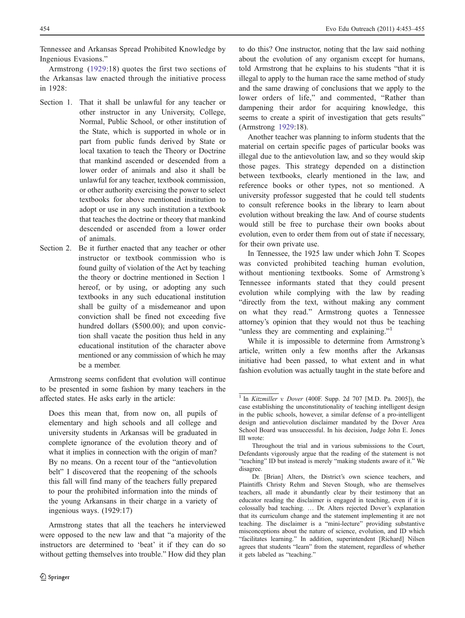Tennessee and Arkansas Spread Prohibited Knowledge by Ingenious Evasions."

Armstrong [\(1929](#page-2-0):18) quotes the first two sections of the Arkansas law enacted through the initiative process in 1928:

- Section 1. That it shall be unlawful for any teacher or other instructor in any University, College, Normal, Public School, or other institution of the State, which is supported in whole or in part from public funds derived by State or local taxation to teach the Theory or Doctrine that mankind ascended or descended from a lower order of animals and also it shall be unlawful for any teacher, textbook commission, or other authority exercising the power to select textbooks for above mentioned institution to adopt or use in any such institution a textbook that teaches the doctrine or theory that mankind descended or ascended from a lower order of animals.
- Section 2. Be it further enacted that any teacher or other instructor or textbook commission who is found guilty of violation of the Act by teaching the theory or doctrine mentioned in Section 1 hereof, or by using, or adopting any such textbooks in any such educational institution shall be guilty of a misdemeanor and upon conviction shall be fined not exceeding five hundred dollars (\$500.00); and upon conviction shall vacate the position thus held in any educational institution of the character above mentioned or any commission of which he may be a member.

Armstrong seems confident that evolution will continue to be presented in some fashion by many teachers in the affected states. He asks early in the article:

Does this mean that, from now on, all pupils of elementary and high schools and all college and university students in Arkansas will be graduated in complete ignorance of the evolution theory and of what it implies in connection with the origin of man? By no means. On a recent tour of the "antievolution belt" I discovered that the reopening of the schools this fall will find many of the teachers fully prepared to pour the prohibited information into the minds of the young Arkansans in their charge in a variety of ingenious ways. (1929:17)

Armstrong states that all the teachers he interviewed were opposed to the new law and that "a majority of the instructors are determined to 'beat' it if they can do so without getting themselves into trouble." How did they plan

to do this? One instructor, noting that the law said nothing about the evolution of any organism except for humans, told Armstrong that he explains to his students "that it is illegal to apply to the human race the same method of study and the same drawing of conclusions that we apply to the lower orders of life," and commented, "Rather than dampening their ardor for acquiring knowledge, this seems to create a spirit of investigation that gets results" (Armstrong [1929:](#page-2-0)18).

Another teacher was planning to inform students that the material on certain specific pages of particular books was illegal due to the antievolution law, and so they would skip those pages. This strategy depended on a distinction between textbooks, clearly mentioned in the law, and reference books or other types, not so mentioned. A university professor suggested that he could tell students to consult reference books in the library to learn about evolution without breaking the law. And of course students would still be free to purchase their own books about evolution, even to order them from out of state if necessary, for their own private use.

In Tennessee, the 1925 law under which John T. Scopes was convicted prohibited teaching human evolution, without mentioning textbooks. Some of Armstrong's Tennessee informants stated that they could present evolution while complying with the law by reading "directly from the text, without making any comment on what they read." Armstrong quotes a Tennessee attorney's opinion that they would not thus be teaching "unless they are commenting and explaining."<sup>1</sup>

While it is impossible to determine from Armstrong's article, written only a few months after the Arkansas initiative had been passed, to what extent and in what fashion evolution was actually taught in the state before and

 $1$  In Kitzmiller v. Dover (400F. Supp. 2d 707 [M.D. Pa. 2005]), the case establishing the unconstitutionality of teaching intelligent design in the public schools, however, a similar defense of a pro-intelligent design and antievolution disclaimer mandated by the Dover Area School Board was unsuccessful. In his decision, Judge John E. Jones III wrote:

Throughout the trial and in various submissions to the Court, Defendants vigorously argue that the reading of the statement is not "teaching" ID but instead is merely "making students aware of it." We disagree.

Dr. [Brian] Alters, the District's own science teachers, and Plaintiffs Christy Rehm and Steven Stough, who are themselves teachers, all made it abundantly clear by their testimony that an educator reading the disclaimer is engaged in teaching, even if it is colossally bad teaching. … Dr. Alters rejected Dover's explanation that its curriculum change and the statement implementing it are not teaching. The disclaimer is a "mini-lecture" providing substantive misconceptions about the nature of science, evolution, and ID which "facilitates learning." In addition, superintendent [Richard] Nilsen agrees that students "learn" from the statement, regardless of whether it gets labeled as "teaching."